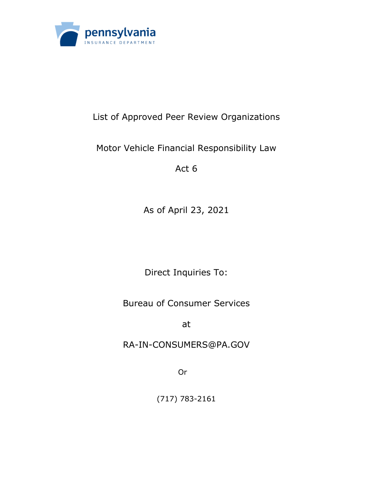

## List of Approved Peer Review Organizations

## Motor Vehicle Financial Responsibility Law

Act 6

As of April 23, 2021

Direct Inquiries To:

Bureau of Consumer Services

at

RA-IN-CONSUMERS@PA.GOV

**Original Contract Contract Original** 

(717) 783-2161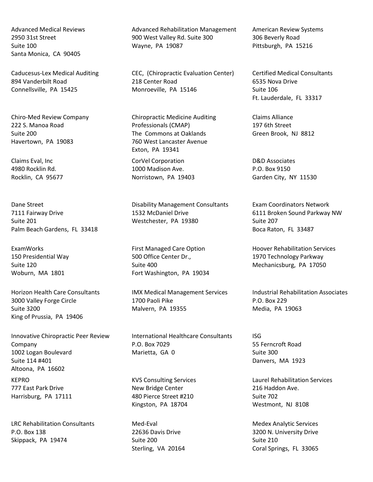Advanced Medical Reviews 2950 31st Street Suite 100 Santa Monica, CA 90405

Caducesus-Lex Medical Auditing 894 Vanderbilt Road Connellsville, PA 15425

Chiro-Med Review Company 222 S. Manoa Road Suite 200 Havertown, PA 19083

Claims Eval, Inc 4980 Rocklin Rd. Rocklin, CA 95677

Dane Street 7111 Fairway Drive Suite 201 Palm Beach Gardens, FL 33418

ExamWorks 150 Presidential Way Suite 120 Woburn, MA 1801

Horizon Health Care Consultants 3000 Valley Forge Circle Suite 3200 King of Prussia, PA 19406

Innovative Chiropractic Peer Review Company 1002 Logan Boulevard Suite 114 #401 Altoona, PA 16602 KEPRO 777 East Park Drive

Harrisburg, PA 17111

LRC Rehabilitation Consultants P.O. Box 138 Skippack, PA 19474

Advanced Rehabilitation Management 900 West Valley Rd. Suite 300 Wayne, PA 19087

CEC, (Chiropractic Evaluation Center) 218 Center Road Monroeville, PA 15146

Chiropractic Medicine Auditing Professionals (CMAP) The Commons at Oaklands 760 West Lancaster Avenue Exton, PA 19341

CorVel Corporation 1000 Madison Ave. Norristown, PA 19403

Disability Management Consultants 1532 McDaniel Drive Westchester, PA 19380

First Managed Care Option 500 Office Center Dr., Suite 400 Fort Washington, PA 19034

IMX Medical Management Services 1700 Paoli Pike Malvern, PA 19355

International Healthcare Consultants P.O. Box 7029 Marietta, GA 0

KVS Consulting Services New Bridge Center 480 Pierce Street #210 Kingston, PA 18704

Med-Eval 22636 Davis Drive Suite 200 Sterling, VA 20164 American Review Systems 306 Beverly Road Pittsburgh, PA 15216

Certified Medical Consultants 6535 Nova Drive Suite 106 Ft. Lauderdale, FL 33317

Claims Alliance 197 6th Street Green Brook, NJ 8812

D&D Associates P.O. Box 9150 Garden City, NY 11530

Exam Coordinators Network 6111 Broken Sound Parkway NW Suite 207 Boca Raton, FL 33487

Hoover Rehabilitation Services 1970 Technology Parkway Mechanicsburg, PA 17050

Industrial Rehabilitation Associates P.O. Box 229 Media, PA 19063

ISG 55 Ferncroft Road Suite 300 Danvers, MA 1923

Laurel Rehabilitation Services 216 Haddon Ave. Suite 702 Westmont, NJ 8108

Medex Analytic Services 3200 N. University Drive Suite 210 Coral Springs, FL 33065